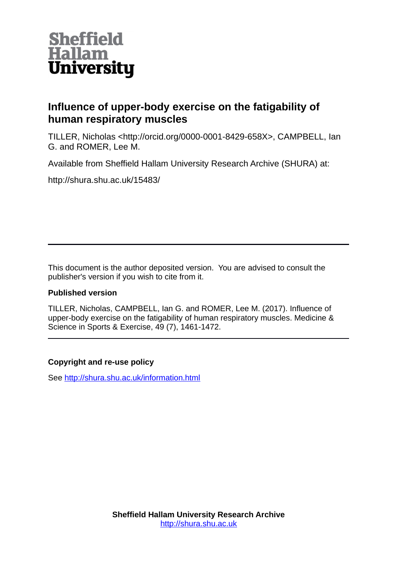

## **Influence of upper-body exercise on the fatigability of human respiratory muscles**

TILLER, Nicholas <http://orcid.org/0000-0001-8429-658X>, CAMPBELL, Ian G. and ROMER, Lee M.

Available from Sheffield Hallam University Research Archive (SHURA) at:

http://shura.shu.ac.uk/15483/

This document is the author deposited version. You are advised to consult the publisher's version if you wish to cite from it.

## **Published version**

TILLER, Nicholas, CAMPBELL, Ian G. and ROMER, Lee M. (2017). Influence of upper-body exercise on the fatigability of human respiratory muscles. Medicine & Science in Sports & Exercise, 49 (7), 1461-1472.

## **Copyright and re-use policy**

See<http://shura.shu.ac.uk/information.html>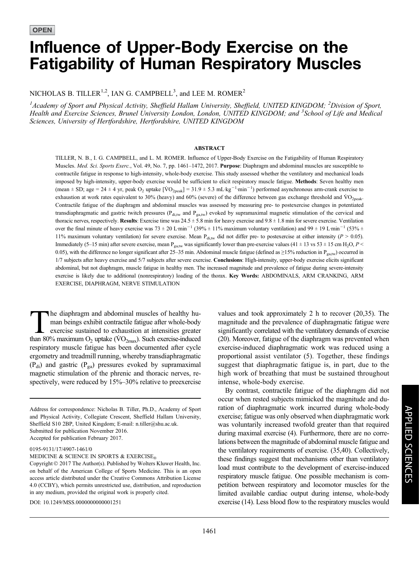# Influence of Upper-Body Exercise on the Fatigability of Human Respiratory Muscles

NICHOLAS B. TILLER<sup>1,2</sup>, IAN G. CAMPBELL<sup>3</sup>, and LEE M. ROMER<sup>2</sup>

<sup>1</sup> Academy of Sport and Physical Activity, Sheffield Hallam University, Sheffield, UNITED KINGDOM; <sup>2</sup> Division of Sport, Health and Exercise Sciences, Brunel University London, London, UNITED KINGDOM; and <sup>3</sup>School of Life and Medical Sciences, University of Hertfordshire, Hertfordshire, UNITED KINGDOM

#### ABSTRACT

TILLER, N. B., I. G. CAMPBELL, and L. M. ROMER. Influence of Upper-Body Exercise on the Fatigability of Human Respiratory Muscles. Med. Sci. Sports Exerc., Vol. 49, No. 7, pp. 1461–1472, 2017. Purpose: Diaphragm and abdominal muscles are susceptible to contractile fatigue in response to high-intensity, whole-body exercise. This study assessed whether the ventilatory and mechanical loads imposed by high-intensity, upper-body exercise would be sufficient to elicit respiratory muscle fatigue. Methods: Seven healthy men (mean  $\pm$  SD; age = 24  $\pm$  4 yr, peak O<sub>2</sub> uptake [VO<sub>2peak</sub>] = 31.9  $\pm$  5.3 mL·kg<sup>-1</sup>·min<sup>-1</sup>) performed asynchronous arm-crank exercise to exhaustion at work rates equivalent to 30% (heavy) and 60% (severe) of the difference between gas exchange threshold and  $\rm VO_{\rm 2peak}$ . Contractile fatigue of the diaphragm and abdominal muscles was assessed by measuring pre- to postexercise changes in potentiated transdiaphragmatic and gastric twitch pressures ( $P_{di,tw}$  and  $P_{ga,tw}$ ) evoked by supramaximal magnetic stimulation of the cervical and thoracic nerves, respectively. Results: Exercise time was  $24.5 \pm 5.8$  min for heavy exercise and  $9.8 \pm 1.8$  min for severe exercise. Ventilation over the final minute of heavy exercise was  $73 \pm 20$  Lmin<sup>-1</sup> (39%  $\pm$  11% maximum voluntary ventilation) and 99  $\pm$  19 Lmin<sup>-1</sup> (53%  $\pm$ 11% maximum voluntary ventilation) for severe exercise. Mean  $P_{di,w}$  did not differ pre- to postexercise at either intensity ( $P > 0.05$ ). Immediately (5–15 min) after severe exercise, mean P<sub>ga,tw</sub> was significantly lower than pre-exercise values (41  $\pm$  13 vs 53  $\pm$  15 cm H<sub>2</sub>O, P < 0.05), with the difference no longer significant after 25–35 min. Abdominal muscle fatigue (defined as  $\geq$ 15% reduction in P<sub>ga,tw</sub>) occurred in 1/7 subjects after heavy exercise and 5/7 subjects after severe exercise. Conclusions: High-intensity, upper-body exercise elicits significant abdominal, but not diaphragm, muscle fatigue in healthy men. The increased magnitude and prevalence of fatigue during severe-intensity exercise is likely due to additional (nonrespiratory) loading of the thorax. Key Words: ABDOMINALS, ARM CRANKING, ARM EXERCISE, DIAPHRAGM, NERVE STIMULATION

The diaphragm and abdominal muscles of healthy human beings exhibit contractile fatigue after whole-body exercise sustained to exhaustion at intensities greater<br>than  $80\%$  maximum O<sub>2</sub> untake  $(\dot{V}O_{2\pi})$ . Such exercise man beings exhibit contractile fatigue after whole-body exercise sustained to exhaustion at intensities greater than 80% maximum  $O_2$  uptake ( $\rm \dot{VO}_{2max}$ ). Such exercise-induced respiratory muscle fatigue has been documented after cycle ergometry and treadmill running, whereby transdiaphragmatic  $(P_{di})$  and gastric  $(P_{ga})$  pressures evoked by supramaximal magnetic stimulation of the phrenic and thoracic nerves, respectively, were reduced by 15%–30% relative to preexercise

Address for correspondence: Nicholas B. Tiller, Ph.D., Academy of Sport and Physical Activity, Collegiate Crescent, Sheffield Hallam University, Sheffield S10 2BP, United Kingdom; E-mail: n.tiller@shu.ac.uk. Submitted for publication November 2016. Accepted for publication February 2017.

0195-9131/17/4907-1461/0

MEDICINE & SCIENCE IN SPORTS & EXERCISE®

DOI: 10.1249/MSS.0000000000001251

values and took approximately 2 h to recover (20,35). The magnitude and the prevalence of diaphragmatic fatigue were significantly correlated with the ventilatory demands of exercise (20). Moreover, fatigue of the diaphragm was prevented when exercise-induced diaphragmatic work was reduced using a proportional assist ventilator (5). Together, these findings suggest that diaphragmatic fatigue is, in part, due to the high work of breathing that must be sustained throughout intense, whole-body exercise.

By contrast, contractile fatigue of the diaphragm did not occur when rested subjects mimicked the magnitude and duration of diaphragmatic work incurred during whole-body exercise; fatigue was only observed when diaphragmatic work was voluntarily increased twofold greater than that required during maximal exercise (4). Furthermore, there are no correlations between the magnitude of abdominal muscle fatigue and the ventilatory requirements of exercise. (35,40). Collectively, these findings suggest that mechanisms other than ventilatory load must contribute to the development of exercise-induced respiratory muscle fatigue. One possible mechanism is competition between respiratory and locomotor muscles for the limited available cardiac output during intense, whole-body exercise (14). Less blood flow to the respiratory muscles would

Copyright © 2017 The Author(s). Published by Wolters Kluwer Health, Inc. on behalf of the American College of Sports Medicine. This is an open access article distributed under the [Creative Commons Attribution License](http://creativecommons.org/licenses/by/4.0/) [4.0 \(CCBY\)](http://creativecommons.org/licenses/by/4.0/), which permits unrestricted use, distribution, and reproduction in any medium, provided the original work is properly cited.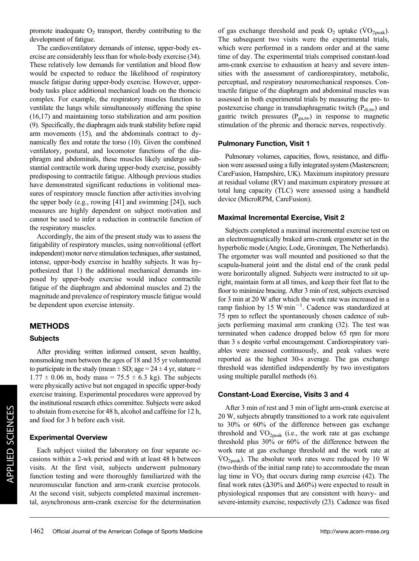promote inadequate  $O_2$  transport, thereby contributing to the development of fatigue.

The cardioventilatory demands of intense, upper-body exercise are considerably less than for whole-body exercise (34). These relatively low demands for ventilation and blood flow would be expected to reduce the likelihood of respiratory muscle fatigue during upper-body exercise. However, upperbody tasks place additional mechanical loads on the thoracic complex. For example, the respiratory muscles function to ventilate the lungs while simultaneously stiffening the spine (16,17) and maintaining torso stabilization and arm position (9). Specifically, the diaphragm aids trunk stability before rapid arm movements (15), and the abdominals contract to dynamically flex and rotate the torso (10). Given the combined ventilatory, postural, and locomotor functions of the diaphragm and abdominals, these muscles likely undergo substantial contractile work during upper-body exercise, possibly predisposing to contractile fatigue. Although previous studies have demonstrated significant reductions in volitional measures of respiratory muscle function after activities involving the upper body (e.g., rowing [41] and swimming [24]), such measures are highly dependent on subject motivation and cannot be used to infer a reduction in contractile function of the respiratory muscles.

Accordingly, the aim of the present study was to assess the fatigability of respiratory muscles, using nonvolitional (effort independent) motor nerve stimulation techniques, after sustained, intense, upper-body exercise in healthy subjects. It was hypothesized that 1) the additional mechanical demands imposed by upper-body exercise would induce contractile fatigue of the diaphragm and abdominal muscles and 2) the magnitude and prevalence of respiratory muscle fatigue would be dependent upon exercise intensity.

#### METHODS

#### Subjects

After providing written informed consent, seven healthy, nonsmoking men between the ages of 18 and 35 yr volunteered to participate in the study (mean  $\pm$  SD; age = 24  $\pm$  4 yr, stature =  $1.77 \pm 0.06$  m, body mass = 75.5  $\pm$  6.3 kg). The subjects were physically active but not engaged in specific upper-body exercise training. Experimental procedures were approved by the institutional research ethics committee. Subjects were asked to abstain from exercise for 48 h, alcohol and caffeine for 12 h, and food for 3 h before each visit.

#### Experimental Overview

Each subject visited the laboratory on four separate occasions within a 2-wk period and with at least 48 h between visits. At the first visit, subjects underwent pulmonary function testing and were thoroughly familiarized with the neuromuscular function and arm-crank exercise protocols. At the second visit, subjects completed maximal incremental, asynchronous arm-crank exercise for the determination of gas exchange threshold and peak  $O_2$  uptake ( $\rm\dot{VO}_{2peak}$ ). The subsequent two visits were the experimental trials, which were performed in a random order and at the same time of day. The experimental trials comprised constant-load arm-crank exercise to exhaustion at heavy and severe intensities with the assessment of cardiorespiratory, metabolic, perceptual, and respiratory neuromechanical responses. Contractile fatigue of the diaphragm and abdominal muscles was assessed in both experimental trials by measuring the pre- to postexercise change in transdiaphragmatic twitch  $(P_{\text{di,tw}})$  and gastric twitch pressures ( $P_{\text{ga,tw}}$ ) in response to magnetic stimulation of the phrenic and thoracic nerves, respectively.

#### Pulmonary Function, Visit 1

Pulmonary volumes, capacities, flows, resistance, and diffusion were assessed using a fully integrated system (Masterscreen; CareFusion, Hampshire, UK). Maximum inspiratory pressure at residual volume (RV) and maximum expiratory pressure at total lung capacity (TLC) were assessed using a handheld device (MicroRPM, CareFusion).

#### Maximal Incremental Exercise, Visit 2

Subjects completed a maximal incremental exercise test on an electromagnetically braked arm-crank ergometer set in the hyperbolic mode (Angio; Lode, Groningen, The Netherlands). The ergometer was wall mounted and positioned so that the scapula-humeral joint and the distal end of the crank pedal were horizontally aligned. Subjects were instructed to sit upright, maintain form at all times, and keep their feet flat to the floor to minimize bracing. After 3 min of rest, subjects exercised for 3 min at 20 W after which the work rate was increased in a ramp fashion by 15 W $\cdot$ min<sup>-1</sup>. Cadence was standardized at 75 rpm to reflect the spontaneously chosen cadence of subjects performing maximal arm cranking (32). The test was terminated when cadence dropped below 65 rpm for more than 3 s despite verbal encouragement. Cardiorespiratory variables were assessed continuously, and peak values were reported as the highest 30-s average. The gas exchange threshold was identified independently by two investigators using multiple parallel methods (6).

#### Constant-Load Exercise, Visits 3 and 4

After 3 min of rest and 3 min of light arm-crank exercise at 20 W, subjects abruptly transitioned to a work rate equivalent to 30% or 60% of the difference between gas exchange threshold and  $\rm{VO}_{2\rm{peak}}$  (i.e., the work rate at gas exchange threshold plus 30% or 60% of the difference between the work rate at gas exchange threshold and the work rate at  $\rm \dot{VO}_{2peak}$ ). The absolute work rates were reduced by 10 W (two-thirds of the initial ramp rate) to accommodate the mean lag time in  $VO<sub>2</sub>$  that occurs during ramp exercise (42). The final work rates ( $\Delta 30\%$  and  $\Delta 60\%$ ) were expected to result in physiological responses that are consistent with heavy- and severe-intensity exercise, respectively (23). Cadence was fixed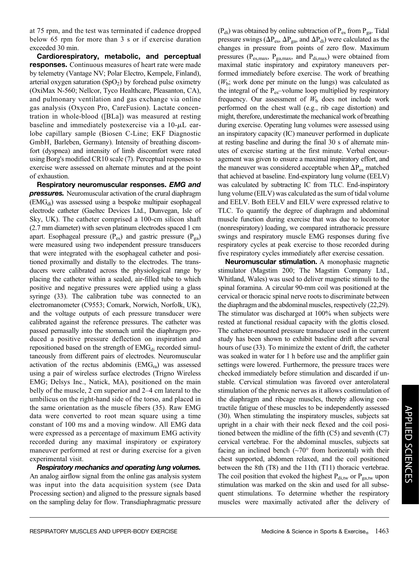at 75 rpm, and the test was terminated if cadence dropped below 65 rpm for more than 3 s or if exercise duration exceeded 30 min.

Cardiorespiratory, metabolic, and perceptual responses. Continuous measures of heart rate were made by telemetry (Vantage NV; Polar Electro, Kempele, Finland), arterial oxygen saturation  $(SpO<sub>2</sub>)$  by forehead pulse oximetry (OxiMax N-560; Nellcor, Tyco Healthcare, Pleasanton, CA), and pulmonary ventilation and gas exchange via online gas analysis (Oxycon Pro, CareFusion). Lactate concentration in whole-blood ([BLa]) was measured at resting baseline and immediately postexercise via a  $10-\mu L$  earlobe capillary sample (Biosen C-Line; EKF Diagnostic GmbH, Barleben, Germany). Intensity of breathing discomfort (dyspnea) and intensity of limb discomfort were rated using Borg"s modified CR10 scale (7). Perceptual responses to exercise were assessed on alternate minutes and at the point of exhaustion.

Respiratory neuromuscular responses. EMG and **pressures.** Neuromuscular activation of the crural diaphragm  $(EMG<sub>di</sub>)$  was assessed using a bespoke multipair esophageal electrode catheter (Gaeltec Devices Ltd., Dunvegan, Isle of Sky, UK). The catheter comprised a 100-cm silicon shaft (2.7 mm diameter) with seven platinum electrodes spaced 1 cm apart. Esophageal pressure  $(P_{es})$  and gastric pressure  $(P_{ga})$ were measured using two independent pressure transducers that were integrated with the esophageal catheter and positioned proximally and distally to the electrodes. The transducers were calibrated across the physiological range by placing the catheter within a sealed, air-filled tube to which positive and negative pressures were applied using a glass syringe (33). The calibration tube was connected to an electromanometer (C9553; Comark, Norwich, Norfolk, UK), and the voltage outputs of each pressure transducer were calibrated against the reference pressures. The catheter was passed pernasally into the stomach until the diaphragm produced a positive pressure deflection on inspiration and repositioned based on the strength of  $EMG<sub>di</sub>$  recorded simultaneously from different pairs of electrodes. Neuromuscular activation of the rectus abdominis  $(EMG<sub>ra</sub>)$  was assessed using a pair of wireless surface electrodes (Trigno Wireless EMG; Delsys Inc., Natick, MA), positioned on the main belly of the muscle, 2 cm superior and 2–4 cm lateral to the umbilicus on the right-hand side of the torso, and placed in the same orientation as the muscle fibers (35). Raw EMG data were converted to root mean square using a time constant of 100 ms and a moving window. All EMG data were expressed as a percentage of maximum EMG activity recorded during any maximal inspiratory or expiratory maneuver performed at rest or during exercise for a given experimental visit.

Respiratory mechanics and operating lung volumes. An analog airflow signal from the online gas analysis system was input into the data acquisition system (see Data Processing section) and aligned to the pressure signals based on the sampling delay for flow. Transdiaphragmatic pressure  $(P_{di})$  was obtained by online subtraction of  $P_{es}$  from  $P_{ga}$ . Tidal pressure swings ( $\Delta P_{es}$ ,  $\Delta P_{ga}$ , and  $\Delta P_{di}$ ) were calculated as the changes in pressure from points of zero flow. Maximum pressures ( $P_{es,max}$ ,  $P_{ga,max}$ , and  $P_{di,max}$ ) were obtained from maximal static inspiratory and expiratory maneuvers performed immediately before exercise. The work of breathing  $(W<sub>b</sub>;$  work done per minute on the lungs) was calculated as the integral of the  $P_{es}$ -volume loop multiplied by respiratory frequency. Our assessment of  $W<sub>b</sub>$  does not include work performed on the chest wall (e.g., rib cage distortion) and might, therefore, underestimate the mechanical work of breathing during exercise. Operating lung volumes were assessed using an inspiratory capacity (IC) maneuver performed in duplicate at resting baseline and during the final 30 s of alternate minutes of exercise starting at the first minute. Verbal encouragement was given to ensure a maximal inspiratory effort, and the maneuver was considered acceptable when  $\Delta P_{es}$  matched that achieved at baseline. End-expiratory lung volume (EELV) was calculated by subtracting IC from TLC. End-inspiratory lung volume (EILV) was calculated as the sum of tidal volume and EELV. Both EELV and EILV were expressed relative to TLC. To quantify the degree of diaphragm and abdominal muscle function during exercise that was due to locomotor (nonrespiratory) loading, we compared intrathoracic pressure swings and respiratory muscle EMG responses during five respiratory cycles at peak exercise to those recorded during five respiratory cycles immediately after exercise cessation.

Neuromuscular stimulation. A monophasic magnetic stimulator (Magstim 200; The Magstim Company Ltd., Whitland, Wales) was used to deliver magnetic stimuli to the spinal foramina. A circular 90-mm coil was positioned at the cervical or thoracic spinal nerve roots to discriminate between the diaphragm and the abdominal muscles, respectively (22,29). The stimulator was discharged at 100% when subjects were rested at functional residual capacity with the glottis closed. The catheter-mounted pressure transducer used in the current study has been shown to exhibit baseline drift after several hours of use (33). To minimize the extent of drift, the catheter was soaked in water for 1 h before use and the amplifier gain settings were lowered. Furthermore, the pressure traces were checked immediately before stimulation and discarded if unstable. Cervical stimulation was favored over anterolateral stimulation of the phrenic nerves as it allows costimulation of the diaphragm and ribcage muscles, thereby allowing contractile fatigue of these muscles to be independently assessed (30). When stimulating the inspiratory muscles, subjects sat upright in a chair with their neck flexed and the coil positioned between the midline of the fifth (C5) and seventh (C7) cervical vertebrae. For the abdominal muscles, subjects sat facing an inclined bench  $({\sim}70^{\circ}$  from horizontal) with their chest supported, abdomen relaxed, and the coil positioned between the 8th (T8) and the 11th (T11) thoracic vertebrae. The coil position that evoked the highest  $P_{di,tw}$  or  $P_{ga,tw}$  upon stimulation was marked on the skin and used for all subsequent stimulations. To determine whether the respiratory muscles were maximally activated after the delivery of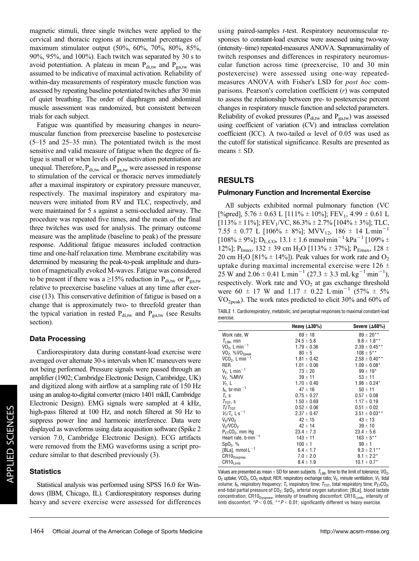magnetic stimuli, three single twitches were applied to the cervical and thoracic regions at incremental percentages of maximum stimulator output (50%, 60%, 70%, 80%, 85%, 90%, 95%, and 100%). Each twitch was separated by 30 s to avoid potentiation. A plateau in mean  $P_{di,tw}$  and  $P_{ga,tw}$  was assumed to be indicative of maximal activation. Reliability of within-day measurements of respiratory muscle function was assessed by repeating baseline potentiated twitches after 30 min of quiet breathing. The order of diaphragm and abdominal muscle assessment was randomized, but consistent between trials for each subject.

Fatigue was quantified by measuring changes in neuromuscular function from preexercise baseline to postexercise (5–15 and 25–35 min). The potentiated twitch is the most sensitive and valid measure of fatigue when the degree of fatigue is small or when levels of postactivation potentiation are unequal. Therefore,  $P_{di,tw}$  and  $P_{ga,tw}$  were assessed in response to stimulation of the cervical or thoracic nerves immediately after a maximal inspiratory or expiratory pressure maneuver, respectively. The maximal inspiratory and expiratory maneuvers were initiated from RV and TLC, respectively, and were maintained for 5 s against a semi-occluded airway. The procedure was repeated five times, and the mean of the final three twitches was used for analysis. The primary outcome measure was the amplitude (baseline to peak) of the pressure response. Additional fatigue measures included contraction time and one-half relaxation time. Membrane excitability was determined by measuring the peak-to-peak amplitude and duration of magnetically evoked M-waves. Fatigue was considered to be present if there was a  $\geq$ 15% reduction in P<sub>di,tw</sub> or P<sub>ga,tw</sub> relative to preexercise baseline values at any time after exercise (13). This conservative definition of fatigue is based on a change that is approximately two- to threefold greater than the typical variation in rested  $P_{di,tw}$  and  $P_{ga,tw}$  (see Results section).

#### Data Processing

Cardiorespiratory data during constant-load exercise were averaged over alternate 30-s intervals when IC maneuvers were not being performed. Pressure signals were passed through an amplifier (1902; Cambridge Electronic Design, Cambridge, UK) and digitized along with airflow at a sampling rate of 150 Hz using an analog-to-digital converter (micro 1401 mkII, Cambridge Electronic Design). EMG signals were sampled at 4 kHz, high-pass filtered at 100 Hz, and notch filtered at 50 Hz to suppress power line and harmonic interference. Data were displayed as waveforms using data acquisition software (Spike 2 version 7.0, Cambridge Electronic Design). ECG artifacts were removed from the EMG waveforms using a script procedure similar to that described previously (3).

#### **Statistics**

Statistical analysis was performed using SPSS 16.0 for Windows (IBM, Chicago, IL). Cardiorespiratory responses during heavy and severe exercise were assessed for differences using paired-samples t-test. Respiratory neuromuscular responses to constant-load exercise were assessed using two-way (intensity–time) repeated-measures ANOVA. Supramaximality of twitch responses and differences in respiratory neuromuscular function across time (preexercise, 10 and 30 min postexercise) were assessed using one-way repeatedmeasures ANOVA with Fisher"s LSD for post hoc comparisons. Pearson's correlation coefficient  $(r)$  was computed to assess the relationship between pre- to postexercise percent changes in respiratory muscle function and selected parameters. Reliability of evoked pressures ( $P_{di,tw}$  and  $P_{ga,tw}$ ) was assessed using coefficient of variation (CV) and intraclass correlation coefficient (ICC). A two-tailed  $\alpha$  level of 0.05 was used as the cutoff for statistical significance. Results are presented as means  $\pm$  SD.

### RESULTS

#### Pulmonary Function and Incremental Exercise

All subjects exhibited normal pulmonary function (VC [%pred],  $5.76 \pm 0.63$  L [111%  $\pm$  10%]; FEV<sub>1</sub>, 4.99  $\pm$  0.61 L  $[113\% \pm 11\%]$ ; FEV<sub>1</sub>/VC, 86.3%  $\pm 2.7\%$  [104%  $\pm 3\%$ ]; TLC, 7.55  $\pm$  0.77 L [106%  $\pm$  8%]; MVV<sub>12</sub>, 186  $\pm$  14 L·min<sup>-</sup>  $[108\% \pm 9\%]$ ; D<sub>L,CO</sub>, 13.1  $\pm 1.6$  mmol·min<sup>-1</sup>·kPa<sup>-1</sup> [109%  $\pm$ 12%]; P<sub>Imax</sub>, 132  $\pm$  39 cm H<sub>2</sub>O [113%  $\pm$  37%]; P<sub>Emax</sub>, 128  $\pm$ 20 cm H<sub>2</sub>O [81%  $\pm$  14%]). Peak values for work rate and O<sub>2</sub> uptake during maximal incremental exercise were  $126 \pm$  $25 \text{ W}$  and  $2.06 \pm 0.41 \text{ L} \cdot \text{min}^{-1} (27.3 \pm 3.3 \text{ mL} \cdot \text{kg}^{-1} \cdot \text{min}^{-1}),$ respectively. Work rate and  $\rm \dot{V}O_{2}$  at gas exchange threshold were 60  $\pm$  17 W and 1.17  $\pm$  0.22 L·min<sup>-1</sup> (57%  $\pm$  5%)  $\text{VO}_{\text{2peak}}$ ). The work rates predicted to elicit 30% and 60% of

TABLE 1. Cardiorespiratory, metabolic, and perceptual responses to maximal constant-load exercise.

|                                        | Heavy $(\Delta 30\%)$ | Severe $(\Delta 60\%)$      |
|----------------------------------------|-----------------------|-----------------------------|
| Work rate, W                           | $69 \pm 18$           | $89 \pm 20$ **              |
| $T_{\text{LIM}}$ , min                 | $24.5 \pm 5.8$        | $9.8 \pm 1.8***$            |
| $\dot{V}0_2$ , L·min <sup>-1</sup>     | $1.79 \pm 0.36$       | $2.39 \pm 0.45***$          |
| VO <sub>2</sub> , %VO <sub>2peak</sub> | $80 \pm 5$            | $108 \pm 5$ **              |
| $VCO2$ , L-min <sup>-1</sup>           | $1.81 \pm 0.42$       | $2.58 \pm 0.40$ **          |
| <b>RER</b>                             | $1.01 \pm 0.06$       | $1.09 \pm 0.08*$            |
| $V_F$ , L $\cdot$ min <sup>-1</sup>    | $73 \pm 20$           | $99 \pm 19^{*}$             |
| $V_F$ , %MVV                           | $39 \pm 11$           | $53 \pm 11$                 |
| $V_T$ , L                              | $1.70 \pm 0.40$       | $1.98 \pm 0.24*$            |
| $f_R$ , br·min <sup>-1</sup>           | $47 \pm 16$           | $50 \pm 11$                 |
| $T_{\rm L}$ , s                        | $0.75 \pm 0.27$       | $0.57 \pm 0.08$             |
| $T_{\text{TOT}}$ , s                   | $1.50 \pm 0.69$       | $1.17 \pm 0.19$             |
| $T_{\parallel}/T_{\text{TOT}}$         | $0.52 \pm 0.06$       | $0.51 \pm 0.02$             |
| $V_T/T_1$ , L·s <sup>-1</sup>          | $2.37 \pm 0.47$       | $3.51 \pm 0.03$ **          |
| $V_F/VO_2$                             | $42 \pm 15$           | $43 \pm 13$                 |
| $V_F/VCO2$                             | $42 \pm 14$           | $39 \pm 10$                 |
| $P_{FT}CO_2$ , mm Hg                   | $23.4 \pm 7.3$        | $23.4 \pm 5.6$              |
| Heart rate, $b \cdot min^{-1}$         | $143 \pm 11$          | $163 \pm 5***$              |
| $SpO2$ , %                             | $100 \pm 1$           | $99 \pm 1$                  |
| [BLa], mmol $L^{-1}$                   | $6.4 \pm 1.7$         | $9.3 \pm 2.1***$            |
| CR10 <sub>Dyspnea</sub>                | $7.0 \pm 2.0$         | $8.1 \pm 2.2^*$             |
| $CR10_{Limb}$                          | $8.4 \pm 1.9$         | $10.1 \pm 0.7$ <sup>*</sup> |

Values are presented as mean  $\pm$  SD for seven subjects.  $\mathcal{T}_{\mathsf{LIM}}$ , time to the limit of tolerance; VO<sub>2</sub>, O<sub>2</sub> uptake; VCO<sub>2</sub>, CO<sub>2</sub> output; RER, respiratory exchange ratio; V<sub>E</sub>, minute ventilation; V<sub>T</sub>, tidal volume;  $f_R$ , respiratory frequency;  $T_I$ , inspiratory time;  $T_{TOT}$ , total respiratory time;  $P_{ET}CO_2$ , end-tidal partial pressure of CO<sub>2</sub>; SpO<sub>2</sub>, arterial oxygen saturation; [BLa], blood lactate concentration; CR10<sub>Dyspnea</sub>, intensity of breathing discomfort; CR10<sub>Limb</sub>, intensity of limb discomfort.  $*P < 0.05$ ,  $*P < 0.01$ ; significantly different vs heavy exercise.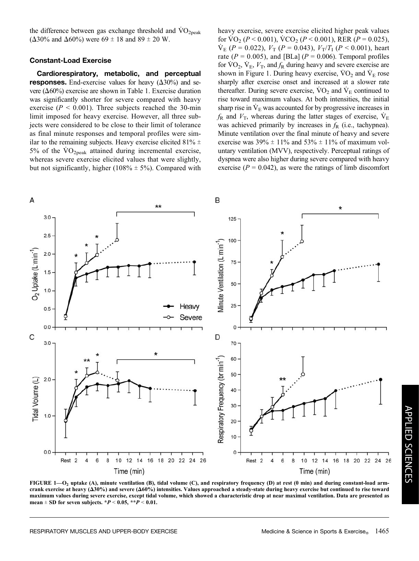the difference between gas exchange threshold and  $VO<sub>2peak</sub>$  $(\Delta 30\%$  and  $\Delta 60\%)$  were 69  $\pm$  18 and 89  $\pm$  20 W.

#### Constant-Load Exercise

Cardiorespiratory, metabolic, and perceptual responses. End-exercise values for heavy  $(\Delta 30\%)$  and severe  $(\Delta 60\%)$  exercise are shown in Table 1. Exercise duration was significantly shorter for severe compared with heavy exercise ( $P < 0.001$ ). Three subjects reached the 30-min limit imposed for heavy exercise. However, all three subjects were considered to be close to their limit of tolerance as final minute responses and temporal profiles were similar to the remaining subjects. Heavy exercise elicited 81%  $\pm$ 5% of the  $\rm\dot{VO}_{2peak}$  attained during incremental exercise, whereas severe exercise elicited values that were slightly, but not significantly, higher (108%  $\pm$  5%). Compared with

heavy exercise, severe exercise elicited higher peak values for  $\text{VO}_2$  (P < 0.001),  $\text{VCO}_2$  (P < 0.001), RER (P = 0.025),  $\dot{V}_{E}$  (P = 0.022),  $V_{T}$  (P = 0.043),  $V_{T}/T_{I}$  (P < 0.001), heart rate ( $P = 0.005$ ), and [BLa] ( $P = 0.006$ ). Temporal profiles for  $\overline{VO}_2$ ,  $\overline{V}_E$ ,  $V_T$ , and  $f_R$  during heavy and severe exercise are shown in Figure 1. During heavy exercise,  $\dot{V}O_2$  and  $\dot{V}_E$  rose sharply after exercise onset and increased at a slower rate thereafter. During severe exercise,  $\rm \dot{V}O_2$  and  $\rm \dot{V}_E$  continued to rise toward maximum values. At both intensities, the initial sharp rise in  $\dot{V}_E$  was accounted for by progressive increases in  $f_{\rm R}$  and  $V_{\rm T}$ , whereas during the latter stages of exercise,  $\dot{V}_{\rm E}$ was achieved primarily by increases in  $f<sub>R</sub>$  (i.e., tachypnea). Minute ventilation over the final minute of heavy and severe exercise was  $39\% \pm 11\%$  and  $53\% \pm 11\%$  of maximum voluntary ventilation (MVV), respectively. Perceptual ratings of dyspnea were also higher during severe compared with heavy exercise ( $P = 0.042$ ), as were the ratings of limb discomfort



FIGURE 1—O<sub>2</sub> uptake (A), minute ventilation (B), tidal volume (C), and respiratory frequency (D) at rest (0 min) and during constant-load armcrank exercise at heavy  $(\Delta 30\%)$  and severe  $(\Delta 60\%)$  intensities. Values approached a steady-state during heavy exercise but continued to rise toward maximum values during severe exercise, except tidal volume, which showed a characteristic drop at near maximal ventilation. Data are presented as mean  $\pm$  SD for seven subjects. \*P < 0.05, \*\*P < 0.01.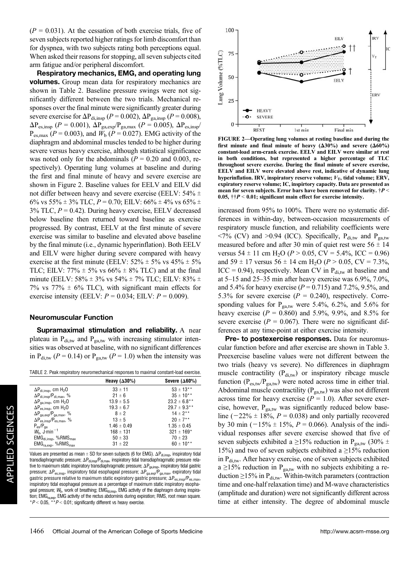$(P = 0.031)$ . At the cessation of both exercise trials, five of seven subjects reported higher ratings for limb discomfort than for dyspnea, with two subjects rating both perceptions equal. When asked their reasons for stopping, all seven subjects cited arm fatigue and/or peripheral discomfort.

Respiratory mechanics, EMG, and operating lung volumes. Group mean data for respiratory mechanics are shown in Table 2. Baseline pressure swings were not significantly different between the two trials. Mechanical responses over the final minute were significantly greater during severe exercise for  $\Delta P_{di,insp}$  ( $P = 0.002$ ),  $\Delta P_{ga,insp}$  ( $P = 0.008$ ),  $\Delta P_{es,insp}$  ( $P = 0.001$ ),  $\Delta P_{ga,exp} / P_{ga,max}$  ( $P = 0.005$ ),  $\Delta P_{es,insp}$ /  $P_{\text{es,max}}$  ( $P = 0.003$ ), and  $W_b$  ( $P = 0.027$ ). EMG activity of the diaphragm and abdominal muscles tended to be higher during severe versus heavy exercise, although statistical significance was noted only for the abdominals ( $P = 0.20$  and 0.003, respectively). Operating lung volumes at baseline and during the first and final minute of heavy and severe exercise are shown in Figure 2. Baseline values for EELV and EILV did not differ between heavy and severe exercise (EELV:  $54\% \pm$ 6% vs 55%  $\pm$  3% TLC,  $P = 0.70$ ; EILV: 66%  $\pm$  4% vs 65%  $\pm$  $3\%$  TLC,  $P = 0.42$ ). During heavy exercise, EELV decreased below baseline then returned toward baseline as exercise progressed. By contrast, EELV at the first minute of severe exercise was similar to baseline and elevated above baseline by the final minute (i.e., dynamic hyperinflation). Both EELV and EILV were higher during severe compared with heavy exercise at the first minute (EELV:  $52\% \pm 5\%$  vs  $45\% \pm 5\%$ TLC; EILV:  $77\% \pm 5\%$  vs  $66\% \pm 8\%$  TLC) and at the final minute (EELV:  $58\% \pm 3\%$  vs  $54\% \pm 7\%$  TLC; EILV:  $83\% \pm 7\%$ 7% vs 77%  $\pm$  6% TLC), with significant main effects for exercise intensity (EELV:  $P = 0.034$ ; EILV:  $P = 0.009$ ).

#### Neuromuscular Function

Supramaximal stimulation and reliability. A near plateau in  $P_{di,tw}$  and  $P_{ga,tw}$  with increasing stimulator intensities was observed at baseline, with no significant differences in  $P_{\text{dit}}(P = 0.14)$  or  $P_{\text{gat}}(P = 1.0)$  when the intensity was

|                                                   | Heavy $(\Delta 30\%)$ | Severe $(\Delta 60\%)$ |
|---------------------------------------------------|-----------------------|------------------------|
| $\Delta P_{\text{di.insp}}$ , cm H <sub>2</sub> O | $33 \pm 11$           | $53 \pm 13$ **         |
| $\Delta P_{di. insp}/P_{di. max}$ , %             | $21 \pm 6$            | $35 \pm 10^{**}$       |
| $\Delta P_{\text{ga.insp}}$ , cm H <sub>2</sub> O | $13.9 \pm 5.5$        | $23.2 \pm 6.8$ **      |
| $\Delta P_{\text{es.insp}}$ , cm H <sub>2</sub> O | $19.3 \pm 6.7$        | $29.7 \pm 9.3$ **      |
| $\Delta P_{\text{ga,exp}}/P_{\text{ga,max}}$ , %  | $8 \pm 2$             | $14 \pm 2**$           |
| $\Delta P_{es.insp}/P_{es.max}$ , %               | $13 \pm 5$            | $20 \pm 7$ **          |
| $P_{es}/P_{ga}$                                   | $1.46 \pm 0.49$       | $1.35 \pm 0.45$        |
| $W_{\rm b}$ , J $\cdot$ min <sup>-1</sup>         | $168 \pm 131$         | $321 \pm 169^*$        |
| $EMGdi.insp$ , %RMS $max$                         | $50 \pm 33$           | $70 \pm 23$            |
| $EMGra. exp$ , %RMS $max$                         | $31 \pm 22$           | $60 \pm 10^{**}$       |
|                                                   |                       |                        |

Values are presented as mean  $\pm$  SD for seven subjects (6 for EMG).  $\Delta P_{di,insp}$ , inspiratory tidal transdiaphragmatic pressure;  $\Delta P_{di,insp}/P_{di,max}$ , inspiratory tidal transdiaphragmatic pressure relative to maximum static inspiratory transdiaphragmatic pressure;  $\Delta P_{ga,insp}$ , inspiratory tidal gastric pressure;  $\Delta P_{es,insp}$ , inspiratory tidal esophageal pressure;  $\Delta P_{ga,exp}/P_{ga,max}$ , expiratory tidal gastric pressure relative to maximum static expiratory gastric pressure;  $\Delta P_{es,insp}/P_{es,max}$ , inspiratory tidal esophageal pressure as a percentage of maximum static inspiratory esophageal pressure;  $W_{b}$ , work of breathing; EMG<sub>di,insp</sub>, EMG activity of the diaphragm during inspiration; EMG<sub>ra,exp</sub>, EMG activity of the rectus abdominis during expiration; RMS, root mean square.  $*P < 0.05$ ,  $*P < 0.01$ ; significantly different vs heavy exercise.



FIGURE 2—Operating lung volumes at resting baseline and during the first minute and final minute of heavy  $(\Delta 30\%)$  and severe  $(\Delta 60\%)$ constant-load arm-crank exercise. EELV and EILV were similar at rest in both conditions, but represented a higher percentage of TLC throughout severe exercise. During the final minute of severe exercise, EELV and EILV were elevated above rest, indicative of dynamic lung hyperinflation. IRV, inspiratory reserve volume;  $V_T$ , tidal volume; ERV, expiratory reserve volume; IC, inspirtory capacity. Data are presented as mean for seven subjects. Error bars have been removed for clarity.  $\dagger P$  < 0.05,  $\uparrow\uparrow P$  < 0.01; significant main effect for exercise intensity.

increased from 95% to 100%. There were no systematic differences in within-day, between-occasion measurements of respiratory muscle function, and reliability coefficients were  $\langle 7\%$  (CV) and  $>0.94$  (ICC). Specifically, P<sub>di,tw</sub> and P<sub>ga,tw</sub> measured before and after 30 min of quiet rest were  $56 \pm 14$ versus  $54 \pm 11$  cm H<sub>2</sub>O ( $P > 0.05$ , CV = 5.4%, ICC = 0.96) and 59  $\pm$  17 versus 56  $\pm$  14 cm H<sub>2</sub>O (*P* > 0.05, CV = 7.3%, ICC = 0.94), respectively. Mean CV in  $P_{di,tw}$  at baseline and at 5–15 and 25–35 min after heavy exercise was 6.9%, 7.0%, and 5.4% for heavy exercise ( $P = 0.715$ ) and 7.2%, 9.5%, and 5.3% for severe exercise ( $P = 0.240$ ), respectively. Corresponding values for  $P_{\text{gatw}}$  were 5.4%, 6.2%, and 5.6% for heavy exercise ( $P = 0.860$ ) and 5.9%, 9.9%, and 8.5% for severe exercise ( $P = 0.067$ ). There were no significant differences at any time-point at either exercise intensity.

Pre- to postexercise responses. Data for neuromuscular function before and after exercise are shown in Table 3. Preexercise baseline values were not different between the two trials (heavy vs severe). No differences in diaphragm muscle contractility  $(P_{di,tw})$  or inspiratory ribcage muscle function ( $P_{es,tw}/P_{ga,tw}$ ) were noted across time in either trial. Abdominal muscle contractility ( $P_{\text{ga,tw}}$ ) was also not different across time for heavy exercise ( $P = 1.0$ ). After severe exercise, however, P<sub>ga,tw</sub> was significantly reduced below baseline ( $-22\% \pm 18\%, P = 0.038$ ) and only partially recovered by 30 min ( $-15\% \pm 15\%$ ,  $P = 0.066$ ). Analysis of the individual responses after severe exercise showed that five of seven subjects exhibited a  $\geq$ 15% reduction in P<sub>ga,tw</sub> (30%  $\pm$ 15%) and two of seven subjects exhibited a  $\geq$ 15% reduction in P<sub>di,tw</sub>. After heavy exercise, one of seven subjects exhibited  $a \ge 15\%$  reduction in P<sub>ga,tw</sub> with no subjects exhibiting a reduction  $\geq$ 15% in P<sub>di,tw</sub>. Within-twitch parameters (contraction time and one-half relaxation time) and M-wave characteristics (amplitude and duration) were not significantly different across time at either intensity. The degree of abdominal muscle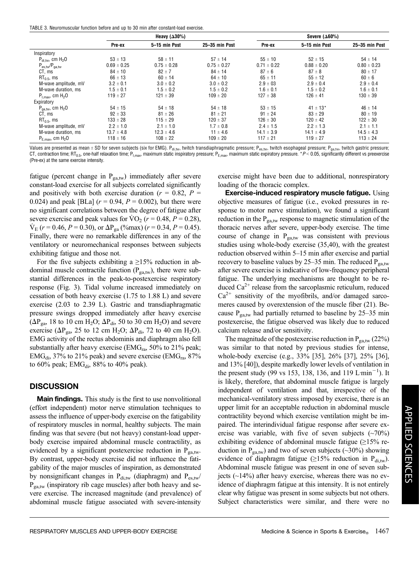|  | TABLE 3. Neuromuscular function before and up to 30 min after constant-load exercise. |  |  |  |  |  |
|--|---------------------------------------------------------------------------------------|--|--|--|--|--|
|  |                                                                                       |  |  |  |  |  |

|                                |                 | Heavy $(\Delta 30\%)$ |                 |                 | Severe $(\Delta 60\%)$ |                 |
|--------------------------------|-----------------|-----------------------|-----------------|-----------------|------------------------|-----------------|
|                                | Pre-ex          | 5-15 min Post         | 25-35 min Post  | Pre-ex          | 5-15 min Post          | 25-35 min Post  |
| Inspiratory                    |                 |                       |                 |                 |                        |                 |
| $P_{\text{ditw}}$ , cm $H_2O$  | $53 \pm 13$     | $58 \pm 11$           | $57 \pm 14$     | $55 \pm 10$     | $52 \pm 15$            | $54 \pm 14$     |
| $P_{es,tw}/P_{aatw}$           | $0.69 \pm 0.25$ | $0.75 \pm 0.28$       | $0.75 \pm 0.27$ | $0.71 \pm 0.22$ | $0.88 \pm 0.20$        | $0.80 \pm 0.23$ |
| CT, ms                         | $84 \pm 10$     | $82 \pm 7$            | $84 \pm 14$     | $87 \pm 6$      | $87 \pm 8$             | $80 \pm 17$     |
| $RT_{0.5}$ , ms                | $66 \pm 13$     | $60 \pm 14$           | $64 \pm 10$     | $65 \pm 11$     | $55 \pm 12$            | $60 \pm 6$      |
| M-wave amplitude, mV           | $3.2 \pm 0.1$   | $3.0 \pm 0.2$         | $3.0 \pm 0.2$   | $2.9 \pm 03$    | $2.9 \pm 0.4$          | $2.9 \pm 0.4$   |
| M-wave duration, ms            | $1.5 \pm 0.1$   | $1.5 \pm 0.2$         | $1.5 \pm 0.2$   | $1.6 \pm 0.1$   | $1.5 \pm 0.2$          | $1.6 \pm 0.1$   |
| $P_{Lmax}$ , cm $H_2O$         | $119 \pm 27$    | $121 \pm 39$          | $109 \pm 20$    | $127 \pm 38$    | $126 \pm 41$           | $130 \pm 39$    |
| Expiratory                     |                 |                       |                 |                 |                        |                 |
| $P_{\text{ga,tw}}$ , cm $H_2O$ | $54 \pm 15$     | $54 \pm 18$           | $54 \pm 18$     | $53 \pm 15$     | $41 \pm 13$ *          | $46 \pm 14$     |
| CT, ms                         | $92 \pm 33$     | $81 \pm 26$           | $81 \pm 21$     | $91 \pm 24$     | $83 \pm 29$            | $80 \pm 19$     |
| $RT0.5$ , ms                   | $133 \pm 28$    | $115 \pm 29$          | $120 \pm 37$    | $126 \pm 30$    | $120 \pm 42$           | $122 \pm 30$    |
| M-wave amplitude, mV           | $2.2 \pm 1.0$   | $2.1 \pm 1.0$         | $1.7 \pm 0.8$   | $2.4 \pm 1.5$   | $2.2 \pm 1.3$          | $2.1 \pm 1.1$   |
| M-wave duration, ms            | $13.7 \pm 4.8$  | $12.3 \pm 4.6$        | $11 \pm 4.6$    | $14.1 \pm 3.9$  | $14.1 \pm 4.9$         | $14.5 \pm 4.3$  |
| $P_{E,max}$ , cm $H_2O$        | $118 \pm 16$    | $108 \pm 22$          | $109 \pm 20$    | $117 \pm 21$    | $119 \pm 27$           | $113 \pm 24$    |

Values are presented as mean  $\pm$  SD for seven subjects (six for EMG). P<sub>di,tw</sub>, twitch transdiaphragmatic pressure; P<sub>es,tw</sub>, twitch esophageal pressure; P<sub>ga,tw</sub>, twitch gastric pressure; CT, contraction time; RT<sub>0.5</sub>, one-half relaxation time; P<sub>I,max</sub>, maximum static inspiratory pressure; P<sub>E,max</sub>, maximum static expiratory pressure. \*P < 0.05, significantly different vs preexercise (Pre-ex) at the same exercise intensity.

fatigue (percent change in  $P_{\text{ga,tw}}$ ) immediately after severe constant-load exercise for all subjects correlated significantly and positively with both exercise duration ( $r = 0.82$ ,  $P =$ 0.024) and peak [BLa]  $(r = 0.94, P = 0.002)$ , but there were no significant correlations between the degree of fatigue after severe exercise and peak values for  $\text{VO}_2$  ( $r = 0.48$ ,  $P = 0.28$ ),  $\dot{V}_{E}$  (r = 0.46, P = 0.30), or  $\Delta P_{ga}$  (%max) (r = 0.34, P = 0.45). Finally, there were no remarkable differences in any of the ventilatory or neuromechanical responses between subjects exhibiting fatigue and those not.

For the five subjects exhibiting a  $\geq$ 15% reduction in abdominal muscle contractile function  $(P_{\text{ga,tw}})$ , there were substantial differences in the peak-to-postexercise respiratory response (Fig. 3). Tidal volume increased immediately on cessation of both heavy exercise (1.75 to 1.88 L) and severe exercise (2.03 to 2.39 L). Gastric and transdiaphragmatic pressure swings dropped immediately after heavy exercise  $(\Delta P_{\text{ga}} 18$  to 10 cm H<sub>2</sub>O;  $\Delta P_{\text{di}}$ , 50 to 30 cm H<sub>2</sub>O) and severe exercise ( $\Delta P_{\text{ga}}$ , 25 to 12 cm H<sub>2</sub>O;  $\Delta P_{\text{di}}$ , 72 to 40 cm H<sub>2</sub>O). EMG activity of the rectus abdominis and diaphragm also fell substantially after heavy exercise (EMG<sub>ra</sub>, 50% to 21% peak;  $EMG_{di}$ , 37% to 21% peak) and severe exercise ( $EMG_{ra}$ , 87% to 60% peak; EMG<sub>di</sub>, 88% to 40% peak).

#### **DISCUSSION**

Main findings. This study is the first to use nonvolitional (effort independent) motor nerve stimulation techniques to assess the influence of upper-body exercise on the fatigability of respiratory muscles in normal, healthy subjects. The main finding was that severe (but not heavy) constant-load upperbody exercise impaired abdominal muscle contractility, as evidenced by a significant postexercise reduction in  $P_{\text{gatw}}$ . By contrast, upper-body exercise did not influence the fatigability of the major muscles of inspiration, as demonstrated by nonsignificant changes in  $P_{di,tw}$  (diaphragm) and  $P_{es,tw}$  $P_{\text{ga,tw}}$  (inspiratory rib cage muscles) after both heavy and severe exercise. The increased magnitude (and prevalence) of abdominal muscle fatigue associated with severe-intensity exercise might have been due to additional, nonrespiratory loading of the thoracic complex.

Exercise-induced respiratory muscle fatigue. Using objective measures of fatigue (i.e., evoked pressures in response to motor nerve stimulation), we found a significant reduction in the  $P_{\text{gatw}}$  response to magnetic stimulation of the thoracic nerves after severe, upper-body exercise. The time course of change in  $P_{\text{ga,tw}}$  was consistent with previous studies using whole-body exercise (35,40), with the greatest reduction observed within 5–15 min after exercise and partial recovery to baseline values by 25–35 min. The reduced  $P_{\text{ga,tw}}$ after severe exercise is indicative of low-frequency peripheral fatigue. The underlying mechanisms are thought to be reduced  $Ca^{2+}$  release from the sarcoplasmic reticulum, reduced  $Ca<sup>2+</sup>$  sensitivity of the myofibrils, and/or damaged sarcomeres caused by overextension of the muscle fiber (21). Because  $P_{\text{gatw}}$  had partially returned to baseline by 25–35 min postexercise, the fatigue observed was likely due to reduced calcium release and/or sensitivity.

The magnitude of the postexercise reduction in  $P_{\text{gatw}}$  (22%) was similar to that noted by previous studies for intense, whole-body exercise (e.g., 33% [35], 26% [37], 25% [36], and 13% [40]), despite markedly lower levels of ventilation in the present study (99 vs 153, 138, 136, and 119 L $\text{min}^{-1}$ ). It is likely, therefore, that abdominal muscle fatigue is largely independent of ventilation and that, irrespective of the mechanical-ventilatory stress imposed by exercise, there is an upper limit for an acceptable reduction in abdominal muscle contractility beyond which exercise ventilation might be impaired. The interindividual fatigue response after severe exercise was variable, with five of seven subjects  $(\sim 70\%)$ exhibiting evidence of abdominal muscle fatigue  $(\geq 15\%$  reduction in  $P_{\text{gatw}}$ ) and two of seven subjects (~30%) showing evidence of diaphragm fatigue ( $\geq$ 15% reduction in P<sub>di,tw</sub>). Abdominal muscle fatigue was present in one of seven subjects  $(\sim 14\%)$  after heavy exercise, whereas there was no evidence of diaphragm fatigue at this intensity. It is not entirely clear why fatigue was present in some subjects but not others. Subject characteristics were similar, and there were no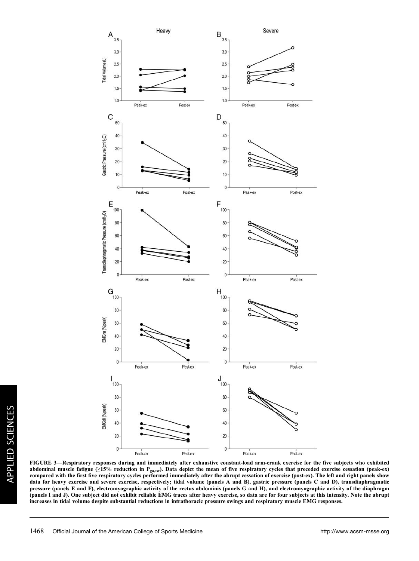

FIGURE 3—Respiratory responses during and immediately after exhaustive constant-load arm-crank exercise for the five subjects who exhibited abdominal muscle fatigue  $(\geq 15\%$  reduction in P<sub>ga,tw</sub>). Data depict the mean of five respiratory cycles that preceded exercise cessation (peak-ex) compared with the first five respiratory cycles performed immediately after the abrupt cessation of exercise (post-ex). The left and right panels show data for heavy exercise and severe exercise, respectively; tidal volume (panels A and B), gastric pressure (panels C and D), transdiaphragmatic pressure (panels E and F), electromyographic activity of the rectus abdominis (panels G and H), and electromyographic activity of the diaphragm (panels I and J). One subject did not exhibit reliable EMG traces after heavy exercise, so data are for four subjects at this intensity. Note the abrupt increases in tidal volume despite substantial reductions in intrathoracic pressure swings and respiratory muscle EMG responses.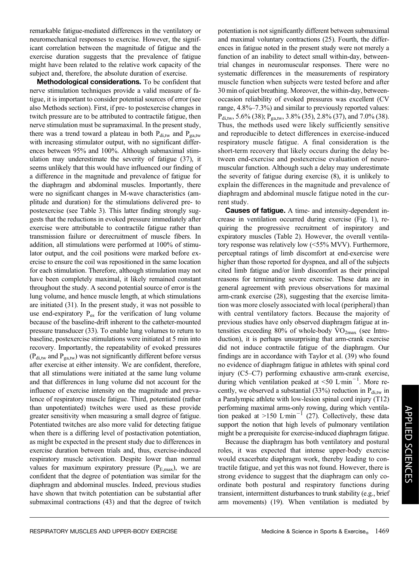remarkable fatigue-mediated differences in the ventilatory or neuromechanical responses to exercise. However, the significant correlation between the magnitude of fatigue and the exercise duration suggests that the prevalence of fatigue might have been related to the relative work capacity of the subject and, therefore, the absolute duration of exercise.

Methodological considerations. To be confident that nerve stimulation techniques provide a valid measure of fatigue, it is important to consider potential sources of error (see also Methods section). First, if pre- to postexercise changes in twitch pressure are to be attributed to contractile fatigue, then nerve stimulation must be supramaximal. In the present study, there was a trend toward a plateau in both  $P_{\text{di,tw}}$  and  $P_{\text{gatw}}$ with increasing stimulator output, with no significant differences between 95% and 100%. Although submaximal stimulation may underestimate the severity of fatigue (37), it seems unlikely that this would have influenced our finding of a difference in the magnitude and prevalence of fatigue for the diaphragm and abdominal muscles. Importantly, there were no significant changes in M-wave characteristics (amplitude and duration) for the stimulations delivered pre- to postexercise (see Table 3). This latter finding strongly suggests that the reductions in evoked pressure immediately after exercise were attributable to contractile fatigue rather than transmission failure or derecruitment of muscle fibers. In addition, all stimulations were performed at 100% of stimulator output, and the coil positions were marked before exercise to ensure the coil was repositioned in the same location for each stimulation. Therefore, although stimulation may not have been completely maximal, it likely remained constant throughout the study. A second potential source of error is the lung volume, and hence muscle length, at which stimulations are initiated (31). In the present study, it was not possible to use end-expiratory  $P_{es}$  for the verification of lung volume because of the baseline-drift inherent to the catheter-mounted pressure transducer (33). To enable lung volumes to return to baseline, postexercise stimulations were initiated at 5 min into recovery. Importantly, the repeatability of evoked pressures  $(P_{\text{div}}$  and  $P_{\text{gal}}$  was not significantly different before versus after exercise at either intensity. We are confident, therefore, that all stimulations were initiated at the same lung volume and that differences in lung volume did not account for the influence of exercise intensity on the magnitude and prevalence of respiratory muscle fatigue. Third, potentiated (rather than unpotentiated) twitches were used as these provide greater sensitivity when measuring a small degree of fatigue. Potentiated twitches are also more valid for detecting fatigue when there is a differing level of postactivation potentiation, as might be expected in the present study due to differences in exercise duration between trials and, thus, exercise-induced respiratory muscle activation. Despite lower than normal values for maximum expiratory pressure  $(P_{E,\text{max}})$ , we are confident that the degree of potentiation was similar for the diaphragm and abdominal muscles. Indeed, previous studies have shown that twitch potentiation can be substantial after submaximal contractions (43) and that the degree of twitch

potentiation is not significantly different between submaximal and maximal voluntary contractions (25). Fourth, the differences in fatigue noted in the present study were not merely a function of an inability to detect small within-day, betweentrial changes in neuromuscular responses. There were no systematic differences in the measurements of respiratory muscle function when subjects were tested before and after 30 min of quiet breathing. Moreover, the within-day, betweenoccasion reliability of evoked pressures was excellent (CV range, 4.8%–7.3%) and similar to previously reported values:  $P_{di,tw}$ , 5.6% (38);  $P_{ga,tw}$ , 3.8% (35), 2.8% (37), and 7.0% (38). Thus, the methods used were likely sufficiently sensitive and reproducible to detect differences in exercise-induced respiratory muscle fatigue. A final consideration is the short-term recovery that likely occurs during the delay between end-exercise and postexercise evaluation of neuromuscular function. Although such a delay may underestimate the severity of fatigue during exercise (8), it is unlikely to explain the differences in the magnitude and prevalence of diaphragm and abdominal muscle fatigue noted in the current study.

Causes of fatigue. A time- and intensity-dependent increase in ventilation occurred during exercise (Fig. 1), requiring the progressive recruitment of inspiratory and expiratory muscles (Table 2). However, the overall ventilatory response was relatively low  $(<55\%$  MVV). Furthermore, perceptual ratings of limb discomfort at end-exercise were higher than those reported for dyspnea, and all of the subjects cited limb fatigue and/or limb discomfort as their principal reasons for terminating severe exercise. These data are in general agreement with previous observations for maximal arm-crank exercise (28), suggesting that the exercise limitation was more closely associated with local (peripheral) than with central ventilatory factors. Because the majority of previous studies have only observed diaphragm fatigue at intensities exceeding 80% of whole-body  $\rm \dot{VO}_{2max}$  (see Introduction), it is perhaps unsurprising that arm-crank exercise did not induce contractile fatigue of the diaphragm. Our findings are in accordance with Taylor et al. (39) who found no evidence of diaphragm fatigue in athletes with spinal cord injury (C5–C7) performing exhaustive arm-crank exercise, during which ventilation peaked at <50 L $\text{min}^{-1}$ . More recently, we observed a substantial  $(33%)$  reduction in  $P_{\text{di,tw}}$  in a Paralympic athlete with low-lesion spinal cord injury (T12) performing maximal arms-only rowing, during which ventilation peaked at >150 L·min<sup>-1</sup> (27). Collectively, these data support the notion that high levels of pulmonary ventilation might be a prerequisite for exercise-induced diaphragm fatigue.

Because the diaphragm has both ventilatory and postural roles, it was expected that intense upper-body exercise would exacerbate diaphragm work, thereby leading to contractile fatigue, and yet this was not found. However, there is strong evidence to suggest that the diaphragm can only coordinate both postural and respiratory functions during transient, intermittent disturbances to trunk stability (e.g., brief arm movements) (19). When ventilation is mediated by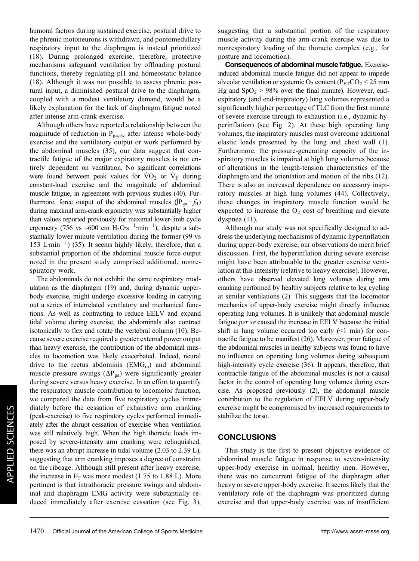humoral factors during sustained exercise, postural drive to the phrenic motoneurons is withdrawn, and pontomedullary respiratory input to the diaphragm is instead prioritized (18). During prolonged exercise, therefore, protective mechanisms safeguard ventilation by offloading postural functions, thereby regulating pH and homeostatic balance (18). Although it was not possible to assess phrenic postural input, a diminished postural drive to the diaphragm, coupled with a modest ventilatory demand, would be a likely explanation for the lack of diaphragm fatigue noted after intense arm-crank exercise.

Although others have reported a relationship between the magnitude of reduction in  $P_{\text{ga,tw}}$  after intense whole-body exercise and the ventilatory output or work performed by the abdominal muscles (35), our data suggest that contractile fatigue of the major expiratory muscles is not entirely dependent on ventilation. No significant correlations were found between peak values for  $\rm \dot{V}O_2$  or  $\rm \dot{V}_E$  during constant-load exercise and the magnitude of abdominal muscle fatigue, in agreement with previous studies (40). Furthermore, force output of the abdominal muscles  $(\mathrm{P}_{ga} \cdot f_R)$ during maximal arm-crank ergometry was substantially higher than values reported previously for maximal lower-limb cycle ergometry (756 vs ~600 cm  $\text{H}_2\text{O} \cdot \text{s}^{-1} \cdot \text{min}^{-1}$ ), despite a substantially lower minute ventilation during the former (99 vs 153 L·min<sup>-1</sup>) (35). It seems highly likely, therefore, that a substantial proportion of the abdominal muscle force output noted in the present study comprised additional, nonrespiratory work.

The abdominals do not exhibit the same respiratory modulation as the diaphragm (19) and, during dynamic upperbody exercise, might undergo excessive loading in carrying out a series of interrelated ventilatory and mechanical functions. As well as contracting to reduce EELV and expand tidal volume during exercise, the abdominals also contract isotonically to flex and rotate the vertebral column (10). Because severe exercise required a greater external power output than heavy exercise, the contribution of the abdominal muscles to locomotion was likely exacerbated. Indeed, neural drive to the rectus abdominis  $(EMG<sub>ra</sub>)$  and abdominal muscle pressure swings  $(\Delta P_{ga})$  were significantly greater during severe versus heavy exercise. In an effort to quantify the respiratory muscle contribution to locomotor function, we compared the data from five respiratory cycles immediately before the cessation of exhaustive arm cranking (peak-exercise) to five respiratory cycles performed immediately after the abrupt cessation of exercise when ventilation was still relatively high. When the high thoracic loads imposed by severe-intensity arm cranking were relinquished, there was an abrupt increase in tidal volume (2.03 to 2.39 L), suggesting that arm cranking imposes a degree of constraint on the ribcage. Although still present after heavy exercise, the increase in  $V<sub>T</sub>$  was more modest (1.75 to 1.88 L). More pertinent is that intrathoracic pressure swings and abdominal and diaphragm EMG activity were substantially reduced immediately after exercise cessation (see Fig. 3),

suggesting that a substantial portion of the respiratory muscle activity during the arm-crank exercise was due to nonrespiratory loading of the thoracic complex (e.g., for posture and locomotion).

Consequences of abdominal muscle fatigue. Exerciseinduced abdominal muscle fatigue did not appear to impede alveolar ventilation or systemic  $O_2$  content (P<sub>ET</sub>CO<sub>2</sub> < 25 mm Hg and  $SpO<sub>2</sub> > 98%$  over the final minute). However, endexpiratory (and end-inspiratory) lung volumes represented a significantly higher percentage of TLC from the first minute of severe exercise through to exhaustion (i.e., dynamic hyperinflation) (see Fig. 2). At these high operating lung volumes, the inspiratory muscles must overcome additional elastic loads presented by the lung and chest wall (1). Furthermore, the pressure-generating capacity of the inspiratory muscles is impaired at high lung volumes because of alterations in the length-tension characteristics of the diaphragm and the orientation and motion of the ribs (12). There is also an increased dependence on accessory inspiratory muscles at high lung volumes (44). Collectively, these changes in inspiratory muscle function would be expected to increase the  $O<sub>2</sub>$  cost of breathing and elevate dyspnea (11).

Although our study was not specifically designed to address the underlying mechanisms of dynamic hyperinflation during upper-body exercise, our observations do merit brief discussion. First, the hyperinflation during severe exercise might have been attributable to the greater exercise ventilation at this intensity (relative to heavy exercise). However, others have observed elevated lung volumes during arm cranking performed by healthy subjects relative to leg cycling at similar ventilations (2). This suggests that the locomotor mechanics of upper-body exercise might directly influence operating lung volumes. It is unlikely that abdominal muscle fatigue per se caused the increase in EELV because the initial shift in lung volume occurred too early  $(1 \text{ min})$  for contractile fatigue to be manifest (26). Moreover, prior fatigue of the abdominal muscles in healthy subjects was found to have no influence on operating lung volumes during subsequent high-intensity cycle exercise (36). It appears, therefore, that contractile fatigue of the abdominal muscles is not a causal factor in the control of operating lung volumes during exercise. As proposed previously (2), the abdominal muscle contribution to the regulation of EELV during upper-body exercise might be compromised by increased requirements to stabilize the torso.

#### **CONCLUSIONS**

This study is the first to present objective evidence of abdominal muscle fatigue in response to severe-intensity upper-body exercise in normal, healthy men. However, there was no concurrent fatigue of the diaphragm after heavy or severe upper-body exercise. It seems likely that the ventilatory role of the diaphragm was prioritized during exercise and that upper-body exercise was of insufficient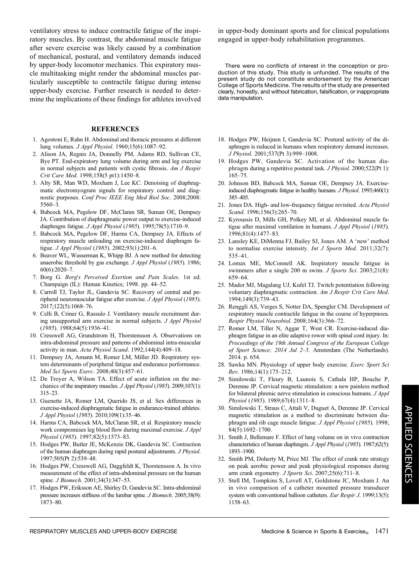ventilatory stress to induce contractile fatigue of the inspiratory muscles. By contrast, the abdominal muscle fatigue after severe exercise was likely caused by a combination of mechanical, postural, and ventilatory demands induced by upper-body locomotor mechanics. This expiratory muscle multitasking might render the abdominal muscles particularly susceptible to contractile fatigue during intense upper-body exercise. Further research is needed to determine the implications of these findings for athletes involved

#### **REFERENCES**

- 1. Agostoni E, Rahn H. Abdominal and thoracic pressures at different lung volumes. J Appl Physiol. 1960;15(6):1087–92.
- 2. Alison JA, Regnis JA, Donnelly PM, Adams RD, Sullivan CE, Bye PT. End-expiratory lung volume during arm and leg exercise in normal subjects and patients with cystic fibrosis. Am J Respir Crit Care Med. 1998;158(5 pt1):1450–8.
- 3. Alty SR, Man WD, Moxham J, Lee KC. Denoising of diaphragmatic electromyogram signals for respiratory control and diagnostic purposes. Conf Proc IEEE Eng Med Biol Soc. 2008;2008: 5560–3.
- 4. Babcock MA, Pegelow DF, McClaran SR, Suman OE, Dempsey JA. Contribution of diaphragmatic power output to exercise-induced diaphragm fatigue. J Appl Physiol (1985). 1995;78(5):1710-9.
- 5. Babcock MA, Pegelow DF, Harms CA, Dempsey JA. Effects of respiratory muscle unloading on exercise-induced diaphragm fatigue. J Appl Physiol (1985). 2002;93(1):201–6.
- 6. Beaver WL, Wasserman K, Whipp BJ. A new method for detecting anaerobic threshold by gas exchange. J Appl Physiol (1985). 1986; 60(6):2020–7.
- 7. Borg G. Borg"s Perceived Exertion and Pain Scales. 1st ed. Champaign (IL): Human Kinetics; 1998. pp. 44–52.
- 8. Carroll TJ, Taylor JL, Gandevia SC. Recovery of central and peripheral neuromuscular fatigue after exercise. J Appl Physiol (1985). 2017;122(5):1068–76.
- 9. Celli B, Criner G, Rassulo J. Ventilatory muscle recruitment during unsupported arm exercise in normal subjects. J Appl Physiol (1985). 1988;64(5):1936–41.
- 10. Cresswell AG, Grundstrom H, Thorstensson A. Observations on intra-abdominal pressure and patterns of abdominal intra-muscular activity in man. Acta Physiol Scand. 1992;144(4):409-18.
- 11. Dempsey JA, Amann M, Romer LM, Miller JD. Respiratory system determinants of peripheral fatigue and endurance performance. Med Sci Sports Exerc. 2008;40(3):457–61.
- 12. De Troyer A, Wilson TA. Effect of acute inflation on the mechanics of the inspiratory muscles. J Appl Physiol (1985). 2009;107(1): 315–23.
- 13. Guenette JA, Romer LM, Querido JS, et al. Sex differences in exercise-induced diaphragmatic fatigue in endurance-trained athletes. J Appl Physiol (1985). 2010;109(1):35–46.
- 14. Harms CA, Babcock MA, McClaran SR, et al. Respiratory muscle work compromises leg blood flow during maximal exercise. J Appl Physiol (1985). 1997;82(5):1573–83.
- 15. Hodges PW, Butler JE, McKenzie DK, Gandevia SC. Contraction of the human diaphragm during rapid postural adjustments. J Physiol. 1997;505(Pt 2):539–48.
- 16. Hodges PW, Cresswell AG, Daggfeldt K, Thorstensson A. In vivo measurement of the effect of intra-abdominal pressure on the human spine. *J Biomech.* 2001;34(3):347–53.
- 17. Hodges PW, Eriksson AE, Shirley D, Gandevia SC. Intra-abdominal pressure increases stiffness of the lumbar spine. J Biomech. 2005;38(9): 1873–80.

in upper-body dominant sports and for clinical populations engaged in upper-body rehabilitation programmes.

There were no conflicts of interest in the conception or production of this study. This study is unfunded. The results of the present study do not constitute endorsement by the American College of Sports Medicine. The results of the study are presented clearly, honestly, and without fabrication, falsification, or inappropriate data manipulation.

- 18. Hodges PW, Heijnen I, Gandevia SC. Postural activity of the diaphragm is reduced in humans when respiratory demand increases. J Physiol. 2001;537(Pt 3):999–1008.
- 19. Hodges PW, Gandevia SC. Activation of the human diaphragm during a repetitive postural task. *J Physiol*. 2000;522(Pt 1): 165–75.
- 20. Johnson BD, Babcock MA, Suman OE, Dempsey JA. Exerciseinduced diaphragmatic fatigue in healthy humans. J Physiol. 1993;460(1): 385–405.
- 21. Jones DA. High- and low-frequency fatigue revisited. Acta Physiol Scand. 1996;156(3):265–70.
- 22. Kyroussis D, Mills GH, Polkey MI, et al. Abdominal muscle fatigue after maximal ventilation in humans. J Appl Physiol (1985). 1996;81(4):1477–83.
- 23. Lansley KE, DiMenna FJ, Bailey SJ, Jones AM. A 'new' method to normalise exercise intensity. Int J Sports Med.  $2011;32(7)$ : 535–41.
- 24. Lomax ME, McConnell AK. Inspiratory muscle fatigue in swimmers after a single 200 m swim. J Sports Sci. 2003;21(8): 659–64.
- 25. Mador MJ, Magalang UJ, Kufel TJ. Twitch potentiation following voluntary diaphragmatic contraction. Am J Respir Crit Care Med. 1994;149(3):739–43.
- 26. Renggli AS, Verges S, Notter DA, Spengler CM. Development of respiratory muscle contractile fatigue in the course of hyperpnoea. Respir Physiol Neurobiol. 2008;164(3):366–72.
- 27. Romer LM, Tiller N, Aggar T, West CR. Exercise-induced diaphragm fatigue in an elite adaptive rower with spinal cord injury. In: Proceedings of the 19th Annual Congress of the European College of Sport Science; 2014 Jul 2–5. Amsterdam (The Netherlands). 2014. p. 654.
- 28. Sawka MN. Physiology of upper body exercise. Exerc Sport Sci Rev. 1986;14(1):175–212.
- 29. Similowski T, Fleury B, Launois S, Cathala HP, Bouche P, Derenne JP. Cervical magnetic stimulation: a new painless method for bilateral phrenic nerve stimulation in conscious humans. J Appl Physiol (1985). 1989;67(4):1311–8.
- 30. Similowski T, Straus C, Attali V, Duguet A, Derenne JP. Cervical magnetic stimulation as a method to discriminate between diaphragm and rib cage muscle fatigue. *J Appl Physiol* (1985). 1998; 84(5):1692–1700.
- 31. Smith J, Bellemare F. Effect of lung volume on in vivo contraction characteristics of human diaphragm. J Appl Physiol (1985). 1987;62(5): 1893–1900.
- 32. Smith PM, Doherty M, Price MJ. The effect of crank rate strategy on peak aerobic power and peak physiological responses during arm crank ergometry. J Sports Sci. 2007;25(6):711-8.
- 33. Stell IM, Tompkins S, Lovell AT, Goldstone JC, Moxham J. An in vivo comparison of a catheter mounted pressure transducer system with conventional balloon catheters. Eur Respir J. 1999;13(5): 1158–63.